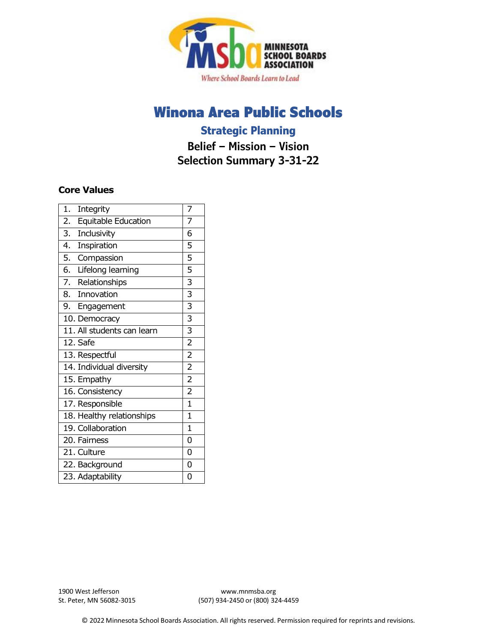

# Winona Area Public Schools

# **Strategic Planning**

**Belief – Mission – Vision Selection Summary 3-31-22**

## **Core Values**

| $\mathbf{1}$ .<br>Integrity | 7              |
|-----------------------------|----------------|
| 2.<br>Equitable Education   | 7              |
| 3.<br>Inclusivity           | 6              |
| 4.<br>Inspiration           | 5              |
| 5. Compassion               | 5              |
| 6. Lifelong learning        | 5              |
| 7. Relationships            | 3              |
| 8.<br>Innovation            | 3              |
| 9. Engagement               | 3              |
| 10. Democracy               | $\overline{3}$ |
| 11. All students can learn  | $\overline{3}$ |
| 12. Safe                    | $\overline{2}$ |
| 13. Respectful              | $\overline{2}$ |
| 14. Individual diversity    | $\overline{2}$ |
| 15. Empathy                 | $\overline{2}$ |
| 16. Consistency             | $\overline{2}$ |
| 17. Responsible             | $\mathbf{1}$   |
| 18. Healthy relationships   | $\mathbf{1}$   |
| 19. Collaboration           | $\mathbf{1}$   |
| 20. Fairness                | 0              |
| 21. Culture                 | 0              |
| 22. Background              | 0              |
| 23. Adaptability            | 0              |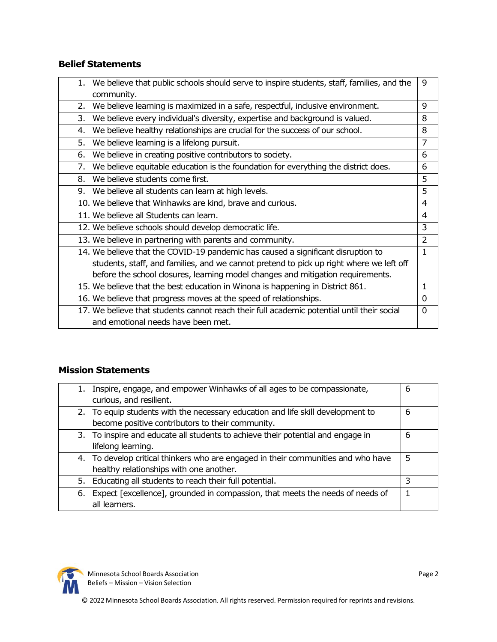# **Belief Statements**

| 1. | We believe that public schools should serve to inspire students, staff, families, and the  | 9              |
|----|--------------------------------------------------------------------------------------------|----------------|
|    | community.                                                                                 |                |
| 2. | We believe learning is maximized in a safe, respectful, inclusive environment.             | 9              |
| 3. | We believe every individual's diversity, expertise and background is valued.               | 8              |
| 4. | We believe healthy relationships are crucial for the success of our school.                | 8              |
| 5. | We believe learning is a lifelong pursuit.                                                 | 7              |
| 6. | We believe in creating positive contributors to society.                                   | 6              |
| 7. | We believe equitable education is the foundation for everything the district does.         | 6              |
| 8. | We believe students come first.                                                            | 5              |
|    | 9. We believe all students can learn at high levels.                                       | 5              |
|    | 10. We believe that Winhawks are kind, brave and curious.                                  | 4              |
|    | 11. We believe all Students can learn.                                                     | 4              |
|    | 12. We believe schools should develop democratic life.                                     | 3              |
|    | 13. We believe in partnering with parents and community.                                   | $\overline{2}$ |
|    | 14. We believe that the COVID-19 pandemic has caused a significant disruption to           | $\mathbf{1}$   |
|    | students, staff, and families, and we cannot pretend to pick up right where we left off    |                |
|    | before the school closures, learning model changes and mitigation requirements.            |                |
|    | 15. We believe that the best education in Winona is happening in District 861.             | $\mathbf{1}$   |
|    | 16. We believe that progress moves at the speed of relationships.                          | 0              |
|    | 17. We believe that students cannot reach their full academic potential until their social | 0              |
|    | and emotional needs have been met.                                                         |                |

## **Mission Statements**

| Inspire, engage, and empower Winhawks of all ages to be compassionate,<br>1.        | 6 |
|-------------------------------------------------------------------------------------|---|
| curious, and resilient.                                                             |   |
| 2. To equip students with the necessary education and life skill development to     | 6 |
| become positive contributors to their community.                                    |   |
| 3. To inspire and educate all students to achieve their potential and engage in     | 6 |
| lifelong learning.                                                                  |   |
| 4. To develop critical thinkers who are engaged in their communities and who have   | 5 |
| healthy relationships with one another.                                             |   |
| 5. Educating all students to reach their full potential.                            | 3 |
| Expect [excellence], grounded in compassion, that meets the needs of needs of<br>6. |   |
| all learners.                                                                       |   |